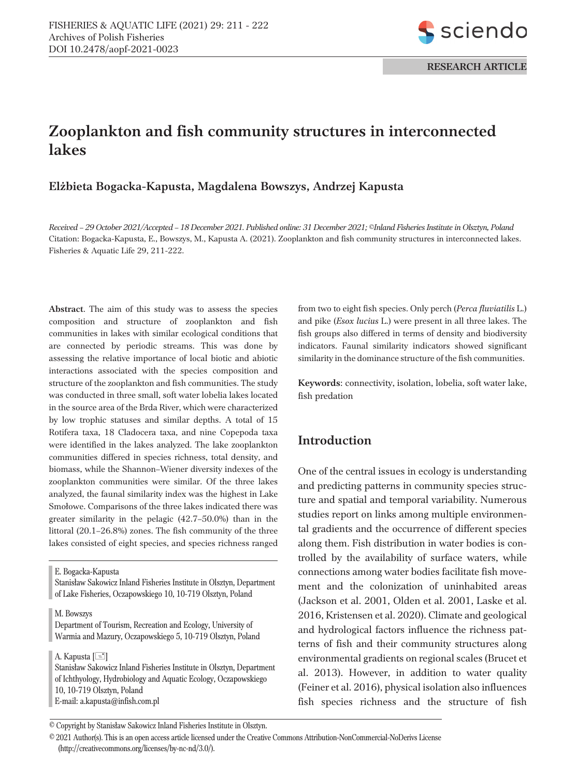

# **Zooplankton and fish community structures in interconnected lakes**

**El¿bieta Bogacka-Kapusta, Magdalena Bowszys, Andrzej Kapusta**

*Received – 29 October 2021/Accepted – 18 December 2021. Published online: 31 December 2021; ©Inland Fisheries Institute in Olsztyn, Poland* Citation: Bogacka-Kapusta, E., Bowszys, M., Kapusta A. (2021). Zooplankton and fish community structures in interconnected lakes. Fisheries & Aquatic Life 29, 211-222.

**Abstract**. The aim of this study was to assess the species composition and structure of zooplankton and fish communities in lakes with similar ecological conditions that are connected by periodic streams. This was done by assessing the relative importance of local biotic and abiotic interactions associated with the species composition and structure of the zooplankton and fish communities. The study was conducted in three small, soft water lobelia lakes located in the source area of the Brda River, which were characterized by low trophic statuses and similar depths. A total of 15 Rotifera taxa, 18 Cladocera taxa, and nine Copepoda taxa were identified in the lakes analyzed. The lake zooplankton communities differed in species richness, total density, and biomass, while the Shannon–Wiener diversity indexes of the zooplankton communities were similar. Of the three lakes analyzed, the faunal similarity index was the highest in Lake Smołowe. Comparisons of the three lakes indicated there was greater similarity in the pelagic (42.7–50.0%) than in the littoral (20.1–26.8%) zones. The fish community of the three lakes consisted of eight species, and species richness ranged

E. Bogacka-Kapusta

Stanisław Sakowicz Inland Fisheries Institute in Olsztyn, Department of Lake Fisheries, Oczapowskiego 10, 10-719 Olsztyn, Poland

M. Bowszys

Department of Tourism, Recreation and Ecology, University of Warmia and Mazury, Oczapowskiego 5, 10-719 Olsztyn, Poland

A. Kapusta [ $\equiv$ ] Stanisław Sakowicz Inland Fisheries Institute in Olsztyn, Department of Ichthyology, Hydrobiology and Aquatic Ecology, Oczapowskiego 10, 10-719 Olsztyn, Poland E-mail: a.kapusta@infish.com.pl

from two to eight fish species. Only perch (*Perca fluviatilis* L.) and pike (*Esox lucius* L.) were present in all three lakes. The fish groups also differed in terms of density and biodiversity indicators. Faunal similarity indicators showed significant similarity in the dominance structure of the fish communities.

**Keywords**: connectivity, isolation, lobelia, soft water lake, fish predation

# **Introduction**

One of the central issues in ecology is understanding and predicting patterns in community species structure and spatial and temporal variability. Numerous studies report on links among multiple environmental gradients and the occurrence of different species along them. Fish distribution in water bodies is controlled by the availability of surface waters, while connections among water bodies facilitate fish movement and the colonization of uninhabited areas (Jackson et al. 2001, Olden et al. 2001, Laske et al. 2016, Kristensen et al. 2020). Climate and geological and hydrological factors influence the richness patterns of fish and their community structures along environmental gradients on regional scales (Brucet et al. 2013). However, in addition to water quality (Feiner et al. 2016), physical isolation also influences fish species richness and the structure of fish

<sup>©</sup> Copyright by Stanis³aw Sakowicz Inland Fisheries Institute in Olsztyn.

<sup>©</sup> 2021 Author(s). This is an open access article licensed under the Creative Commons Attribution-NonCommercial-NoDerivs License (http://creativecommons.org/licenses/by-nc-nd/3.0/).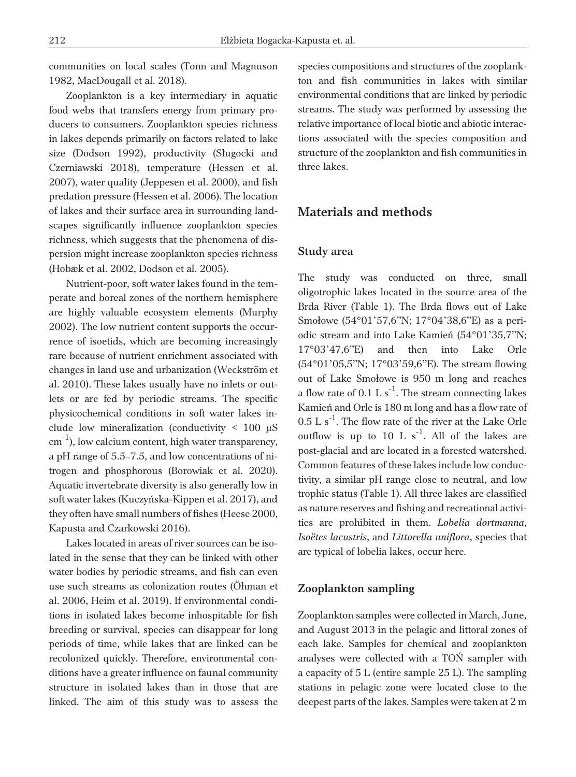communities on local scales (Tonn and Magnuson 1982, MacDougall et al. 2018).

Zooplankton is a key intermediary in aquatic food webs that transfers energy from primary producers to consumers. Zooplankton species richness in lakes depends primarily on factors related to lake size (Dodson 1992), productivity (Sługocki and Czerniawski 2018), temperature (Hessen et al. 2007), water quality (Jeppesen et al. 2000), and fish predation pressure (Hessen et al. 2006). The location of lakes and their surface area in surrounding landscapes significantly influence zooplankton species richness, which suggests that the phenomena of dispersion might increase zooplankton species richness (Hobæk et al. 2002, Dodson et al. 2005).

Nutrient-poor, soft water lakes found in the temperate and boreal zones of the northern hemisphere are highly valuable ecosystem elements (Murphy 2002). The low nutrient content supports the occurrence of isoetids, which are becoming increasingly rare because of nutrient enrichment associated with changes in land use and urbanization (Weckström et al. 2010). These lakes usually have no inlets or outlets or are fed by periodic streams. The specific physicochemical conditions in soft water lakes include low mineralization (conductivity < 100 µS  $\text{cm}^{-1}$ ), low calcium content, high water transparency, a pH range of 5.5–7.5, and low concentrations of nitrogen and phosphorous (Borowiak et al. 2020). Aquatic invertebrate diversity is also generally low in soft water lakes (Kuczyñska-Kippen et al. 2017), and they often have small numbers of fishes (Heese 2000, Kapusta and Czarkowski 2016).

Lakes located in areas of river sources can be isolated in the sense that they can be linked with other water bodies by periodic streams, and fish can even use such streams as colonization routes (Öhman et al. 2006, Heim et al. 2019). If environmental conditions in isolated lakes become inhospitable for fish breeding or survival, species can disappear for long periods of time, while lakes that are linked can be recolonized quickly. Therefore, environmental conditions have a greater influence on faunal community structure in isolated lakes than in those that are linked. The aim of this study was to assess the

species compositions and structures of the zooplankton and fish communities in lakes with similar environmental conditions that are linked by periodic streams. The study was performed by assessing the relative importance of local biotic and abiotic interactions associated with the species composition and structure of the zooplankton and fish communities in three lakes.

# **Materials and methods**

#### **Study area**

The study was conducted on three, small oligotrophic lakes located in the source area of the Brda River (Table 1). The Brda flows out of Lake Smołowe (54°01'57,6"N; 17°04'38,6"E) as a periodic stream and into Lake Kamieñ (54°01'35,7"N; 17°03'47,6"E) and then into Lake Orle (54°01'05,5"N; 17°03'59,6"E). The stream flowing out of Lake Smołowe is 950 m long and reaches a flow rate of 0.1 L  $s^{-1}$ . The stream connecting lakes Kamieñ and Orle is 180 m long and has a flow rate of  $0.5$  L s<sup>-1</sup>. The flow rate of the river at the Lake Orle outflow is up to 10 L  $s^{-1}$ . All of the lakes are post-glacial and are located in a forested watershed. Common features of these lakes include low conductivity, a similar pH range close to neutral, and low trophic status (Table 1). All three lakes are classified as nature reserves and fishing and recreational activities are prohibited in them. *Lobelia dortmanna*, *Isoëtes lacustris*, and *Littorella uniflora*, species that are typical of lobelia lakes, occur here*.*

## **Zooplankton sampling**

Zooplankton samples were collected in March, June, and August 2013 in the pelagic and littoral zones of each lake. Samples for chemical and zooplankton analyses were collected with a TOÑ sampler with a capacity of 5 L (entire sample 25 L). The sampling stations in pelagic zone were located close to the deepest parts of the lakes. Samples were taken at 2 m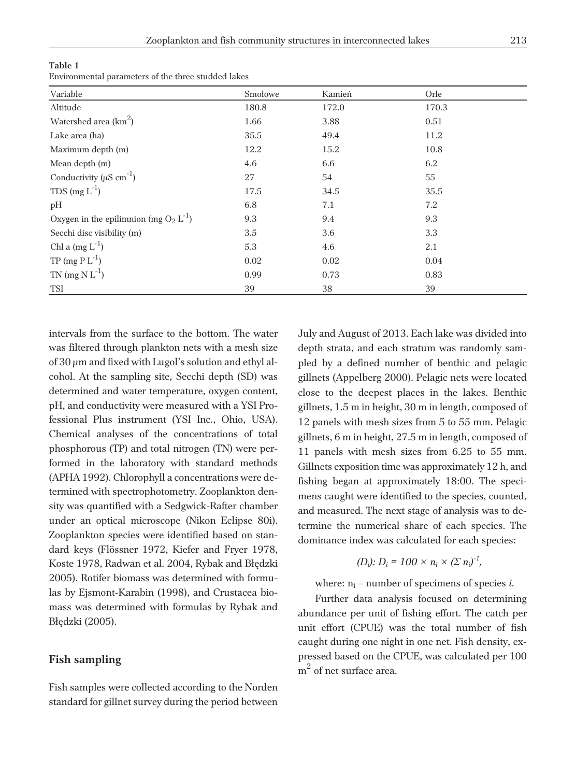**Table 1**

Environmental parameters of the three studded lakes

| Variable                                    | Smołowe | Kamień | Orle  |
|---------------------------------------------|---------|--------|-------|
| Altitude                                    | 180.8   | 172.0  | 170.3 |
| Watershed area $(km^2)$                     | 1.66    | 3.88   | 0.51  |
| Lake area (ha)                              | 35.5    | 49.4   | 11.2  |
| Maximum depth (m)                           | 12.2    | 15.2   | 10.8  |
| Mean depth (m)                              | 4.6     | 6.6    | 6.2   |
| Conductivity ( $\mu$ S cm <sup>-1</sup> )   | 27      | 54     | 55    |
| TDS $(mg L-1)$                              | 17.5    | 34.5   | 35.5  |
| pH                                          | 6.8     | 7.1    | 7.2   |
| Oxygen in the epilimnion (mg $O_2 L^{-1}$ ) | 9.3     | 9.4    | 9.3   |
| Secchi disc visibility (m)                  | 3.5     | 3.6    | 3.3   |
| Chl a $(mg L^{-1})$                         | 5.3     | 4.6    | 2.1   |
| $TP (mg PL-1)$                              | 0.02    | 0.02   | 0.04  |
| TN $(mg N L^{-1})$                          | 0.99    | 0.73   | 0.83  |
| TSI                                         | 39      | 38     | 39    |

intervals from the surface to the bottom. The water was filtered through plankton nets with a mesh size of 30 µm and fixed with Lugol's solution and ethyl alcohol. At the sampling site, Secchi depth (SD) was determined and water temperature, oxygen content, pH, and conductivity were measured with a YSI Professional Plus instrument (YSI Inc., Ohio, USA). Chemical analyses of the concentrations of total phosphorous (TP) and total nitrogen (TN) were performed in the laboratory with standard methods (APHA 1992). Chlorophyll a concentrations were determined with spectrophotometry. Zooplankton density was quantified with a Sedgwick-Rafter chamber under an optical microscope (Nikon Eclipse 80i). Zooplankton species were identified based on standard keys (Flössner 1972, Kiefer and Fryer 1978, Koste 1978, Radwan et al. 2004, Rybak and Błędzki 2005). Rotifer biomass was determined with formulas by Ejsmont-Karabin (1998), and Crustacea biomass was determined with formulas by Rybak and Błędzki (2005).

#### **Fish sampling**

Fish samples were collected according to the Norden standard for gillnet survey during the period between

July and August of 2013. Each lake was divided into depth strata, and each stratum was randomly sampled by a defined number of benthic and pelagic gillnets (Appelberg 2000). Pelagic nets were located close to the deepest places in the lakes. Benthic gillnets, 1.5 m in height, 30 m in length, composed of 12 panels with mesh sizes from 5 to 55 mm. Pelagic gillnets, 6 m in height, 27.5 m in length, composed of 11 panels with mesh sizes from 6.25 to 55 mm. Gillnets exposition time was approximately 12 h, and fishing began at approximately 18:00. The specimens caught were identified to the species, counted, and measured. The next stage of analysis was to determine the numerical share of each species. The dominance index was calculated for each species:

$$
(D_i): D_i = 100 \times n_i \times (\Sigma n_i)^{-1},
$$

where:  $n_i$  – number of specimens of species *i*.

Further data analysis focused on determining abundance per unit of fishing effort. The catch per unit effort (CPUE) was the total number of fish caught during one night in one net. Fish density, expressed based on the CPUE, was calculated per 100  $m^2$  of net surface area.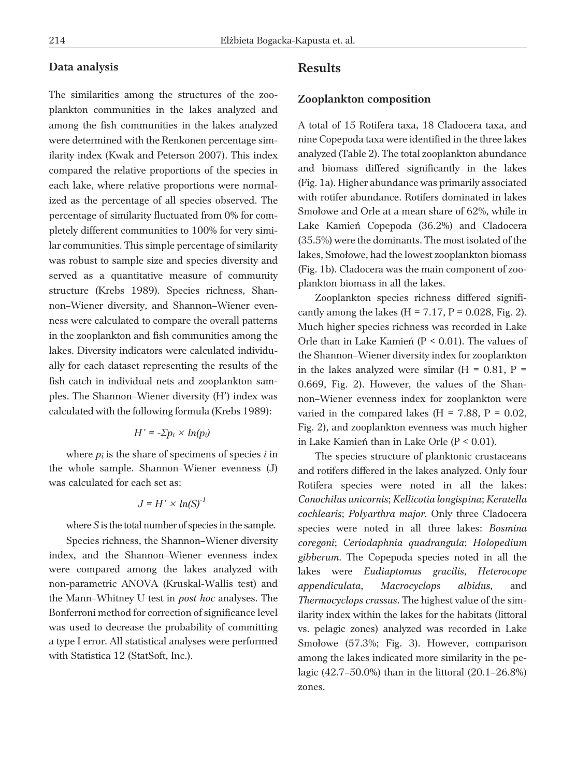#### **Data analysis**

The similarities among the structures of the zooplankton communities in the lakes analyzed and among the fish communities in the lakes analyzed were determined with the Renkonen percentage similarity index (Kwak and Peterson 2007). This index compared the relative proportions of the species in each lake, where relative proportions were normalized as the percentage of all species observed. The percentage of similarity fluctuated from 0% for completely different communities to 100% for very similar communities. This simple percentage of similarity was robust to sample size and species diversity and served as a quantitative measure of community structure (Krebs 1989). Species richness, Shannon–Wiener diversity, and Shannon–Wiener evenness were calculated to compare the overall patterns in the zooplankton and fish communities among the lakes. Diversity indicators were calculated individually for each dataset representing the results of the fish catch in individual nets and zooplankton samples. The Shannon–Wiener diversity (H') index was calculated with the following formula (Krebs 1989):

$$
H' = -\Sigma p_i \times ln(p_i)
$$

where  $p_i$  is the share of specimens of species  $i$  in the whole sample. Shannon–Wiener evenness (J) was calculated for each set as:

# $J=H' \times ln(S)^{-1}$

where *S* is the total number of species in the sample.

Species richness, the Shannon–Wiener diversity index, and the Shannon–Wiener evenness index were compared among the lakes analyzed with non-parametric ANOVA (Kruskal-Wallis test) and the Mann–Whitney U test in *post hoc* analyses. The Bonferroni method for correction of significance level was used to decrease the probability of committing a type I error. All statistical analyses were performed with Statistica 12 (StatSoft, Inc.).

## **Results**

#### **Zooplankton composition**

A total of 15 Rotifera taxa, 18 Cladocera taxa, and nine Copepoda taxa were identified in the three lakes analyzed (Table 2). The total zooplankton abundance and biomass differed significantly in the lakes (Fig. 1a). Higher abundance was primarily associated with rotifer abundance. Rotifers dominated in lakes Smołowe and Orle at a mean share of 62%, while in Lake Kamieñ Copepoda (36.2%) and Cladocera (35.5%) were the dominants. The most isolated of the lakes, Smołowe, had the lowest zooplankton biomass (Fig. 1b). Cladocera was the main component of zooplankton biomass in all the lakes.

Zooplankton species richness differed significantly among the lakes (H =  $7.17$ , P = 0.028, Fig. 2). Much higher species richness was recorded in Lake Orle than in Lake Kamieñ (P < 0.01). The values of the Shannon–Wiener diversity index for zooplankton in the lakes analyzed were similar ( $H = 0.81$ ,  $P =$ 0.669, Fig. 2). However, the values of the Shannon–Wiener evenness index for zooplankton were varied in the compared lakes (H =  $7.88$ , P = 0.02, Fig. 2), and zooplankton evenness was much higher in Lake Kamieñ than in Lake Orle (P < 0.01).

The species structure of planktonic crustaceans and rotifers differed in the lakes analyzed. Only four Rotifera species were noted in all the lakes: *Conochilus unicornis*; *Kellicotia longispina*; *Keratella cochlearis*; *Polyarthra major*. Only three Cladocera species were noted in all three lakes: *Bosmina coregoni*; *Ceriodaphnia quadrangula*; *Holopedium gibberum*. The Copepoda species noted in all the lakes were *Eudiaptomus gracilis*, *Heterocope appendiculata*, *Macrocyclops albidus*, and *Thermocyclops crassus*. The highest value of the similarity index within the lakes for the habitats (littoral vs. pelagic zones) analyzed was recorded in Lake Smołowe (57.3%; Fig. 3). However, comparison among the lakes indicated more similarity in the pelagic (42.7–50.0%) than in the littoral (20.1–26.8%) zones.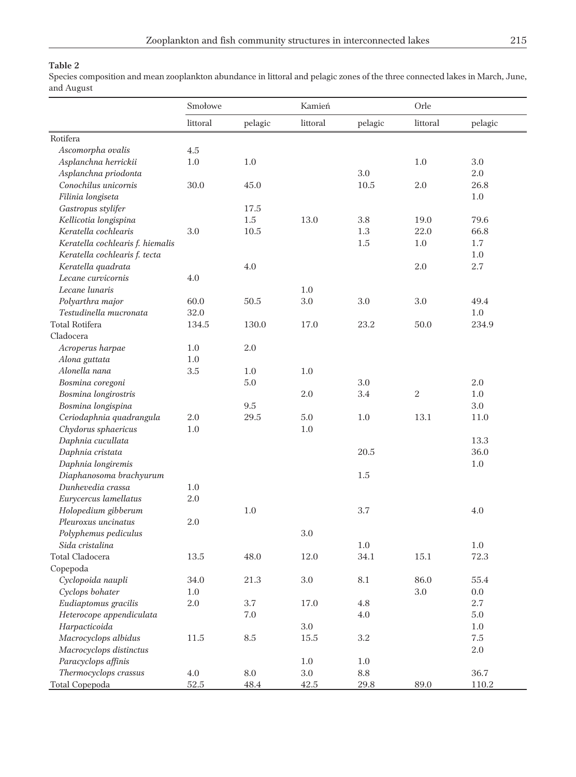## **Table 2**

Species composition and mean zooplankton abundance in littoral and pelagic zones of the three connected lakes in March, June, and August

|                                  | Smołowe  |            | Kamień   |                 | Orle     |         |  |
|----------------------------------|----------|------------|----------|-----------------|----------|---------|--|
|                                  | littoral | pelagic    | littoral | pelagic         | littoral | pelagic |  |
| Rotifera                         |          |            |          |                 |          |         |  |
| Ascomorpha ovalis                | 4.5      |            |          |                 |          |         |  |
| Asplanchna herrickii             | 1.0      | 1.0        |          |                 | 1.0      | 3.0     |  |
| Asplanchna priodonta             |          |            |          | 3.0             |          | 2.0     |  |
| Conochilus unicornis             | 30.0     | 45.0       |          | 10.5            | 2.0      | 26.8    |  |
| Filinia longiseta                |          |            |          |                 |          | 1.0     |  |
| Gastropus stylifer               |          | 17.5       |          |                 |          |         |  |
| Kellicotia longispina            |          | 1.5        | 13.0     | 3.8             | 19.0     | 79.6    |  |
| Keratella cochlearis             | 3.0      | 10.5       |          | 1.3             | 22.0     | 66.8    |  |
| Keratella cochlearis f. hiemalis |          |            |          | 1.5             | 1.0      | 1.7     |  |
| Keratella cochlearis f. tecta    |          |            |          |                 |          | 1.0     |  |
| Keratella quadrata               |          | 4.0        |          |                 | 2.0      | 2.7     |  |
| Lecane curvicornis               | 4.0      |            |          |                 |          |         |  |
| Lecane lunaris                   |          |            | 1.0      |                 |          |         |  |
| Polyarthra major                 | 60.0     | 50.5       | 3.0      | 3.0             | 3.0      | 49.4    |  |
| Testudinella mucronata           | 32.0     |            |          |                 |          | 1.0     |  |
| <b>Total Rotifera</b>            | 134.5    | 130.0      | 17.0     | 23.2            | 50.0     | 234.9   |  |
| Cladocera                        |          |            |          |                 |          |         |  |
| Acroperus harpae                 | 1.0      | 2.0        |          |                 |          |         |  |
| Alona guttata                    | 1.0      |            |          |                 |          |         |  |
| Alonella nana                    | 3.5      | 1.0        | 1.0      |                 |          |         |  |
| Bosmina coregoni                 |          | $5.0\,$    |          | 3.0             |          | 2.0     |  |
| Bosmina longirostris             |          |            | 2.0      | 3.4             | 2        | 1.0     |  |
| Bosmina longispina               |          | 9.5        |          |                 |          | 3.0     |  |
| Ceriodaphnia quadrangula         | 2.0      | 29.5       | 5.0      | 1.0             | 13.1     | 11.0    |  |
| Chydorus sphaericus              | 1.0      |            | 1.0      |                 |          |         |  |
| Daphnia cucullata                |          |            |          |                 |          | 13.3    |  |
| Daphnia cristata                 |          |            |          | 20.5            |          | 36.0    |  |
| Daphnia longiremis               |          |            |          |                 |          | 1.0     |  |
| Diaphanosoma brachyurum          |          |            |          | 1.5             |          |         |  |
| Dunhevedia crassa                | 1.0      |            |          |                 |          |         |  |
| Eurycercus lamellatus            | 2.0      |            |          |                 |          |         |  |
| Holopedium gibberum              |          | 1.0        |          | 3.7             |          | 4.0     |  |
| Pleuroxus uncinatus              | 2.0      |            |          |                 |          |         |  |
| Polyphemus pediculus             |          |            | 3.0      |                 |          |         |  |
| Sida cristalina                  |          |            |          | 1.0             |          | 1.0     |  |
| Total Cladocera                  | $13.5\,$ | 48.0       | 12.0     | 34.1            | 15.1     | 72.3    |  |
| Copepoda                         |          |            |          |                 |          |         |  |
| Cyclopoida naupli                | 34.0     | 21.3       | $3.0\,$  | $8.1\,$         | 86.0     | 55.4    |  |
| Cyclops bohater                  | 1.0      |            |          |                 | 3.0      | 0.0     |  |
| Eudiaptomus gracilis             | $2.0\,$  | 3.7        | 17.0     | 4.8             |          | $2.7\,$ |  |
| Heterocope appendiculata         |          | 7.0        |          | 4.0             |          | $5.0\,$ |  |
| Harpacticoida                    |          |            | $3.0\,$  |                 |          | 1.0     |  |
| Macrocyclops albidus             | $11.5\,$ | $\ \, 8.5$ | $15.5\,$ | $3.2\,$         |          | 7.5     |  |
| Macrocyclops distinctus          |          |            |          |                 |          | $2.0\,$ |  |
| Paracyclops affinis              |          |            | 1.0      | $1.0\,$         |          |         |  |
| Thermocyclops crassus            | 4.0      | $8.0\,$    | 3.0      | $\!\!\!\!\!8.8$ |          | 36.7    |  |
| <b>Total Copepoda</b>            | 52.5     | 48.4       | 42.5     | 29.8            | 89.0     | 110.2   |  |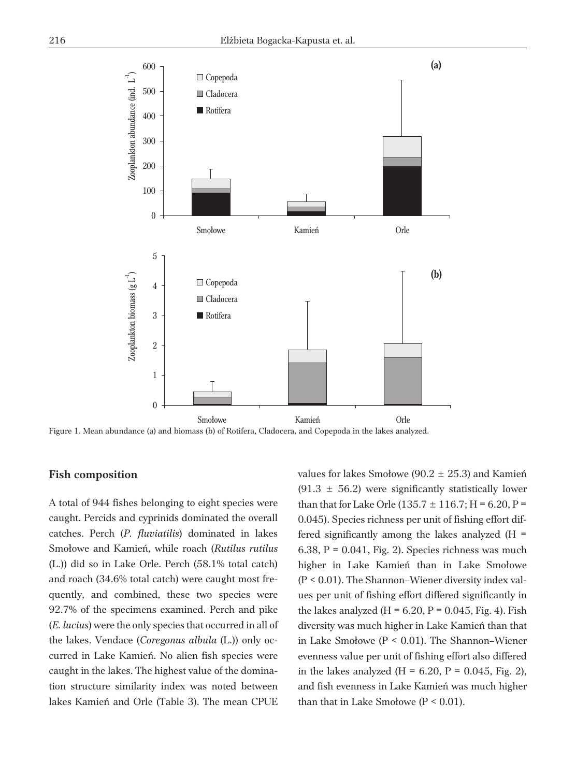

Figure 1. Mean abundance (a) and biomass (b) of Rotifera, Cladocera, and Copepoda in the lakes analyzed.

#### **Fish composition**

A total of 944 fishes belonging to eight species were caught. Percids and cyprinids dominated the overall catches. Perch (*P. fluviatilis*) dominated in lakes Smołowe and Kamień, while roach (*Rutilus rutilus* (L.)) did so in Lake Orle. Perch (58.1% total catch) and roach (34.6% total catch) were caught most frequently, and combined, these two species were 92.7% of the specimens examined. Perch and pike (*E. lucius*) were the only species that occurred in all of the lakes. Vendace (*Coregonus albula* (L.)) only occurred in Lake Kamieñ. No alien fish species were caught in the lakes. The highest value of the domination structure similarity index was noted between lakes Kamieñ and Orle (Table 3). The mean CPUE

values for lakes Smołowe (90.2  $\pm$  25.3) and Kamień  $(91.3 \pm 56.2)$  were significantly statistically lower than that for Lake Orle (135.7  $\pm$  116.7; H = 6.20, P = 0.045). Species richness per unit of fishing effort differed significantly among the lakes analyzed  $(H =$ 6.38,  $P = 0.041$ , Fig. 2). Species richness was much higher in Lake Kamień than in Lake Smołowe (P < 0.01). The Shannon–Wiener diversity index values per unit of fishing effort differed significantly in the lakes analyzed  $(H = 6.20, P = 0.045, Fig. 4)$ . Fish diversity was much higher in Lake Kamieñ than that in Lake Smołowe ( $P < 0.01$ ). The Shannon–Wiener evenness value per unit of fishing effort also differed in the lakes analyzed (H =  $6.20$ , P =  $0.045$ , Fig. 2), and fish evenness in Lake Kamieñ was much higher than that in Lake Smołowe ( $P < 0.01$ ).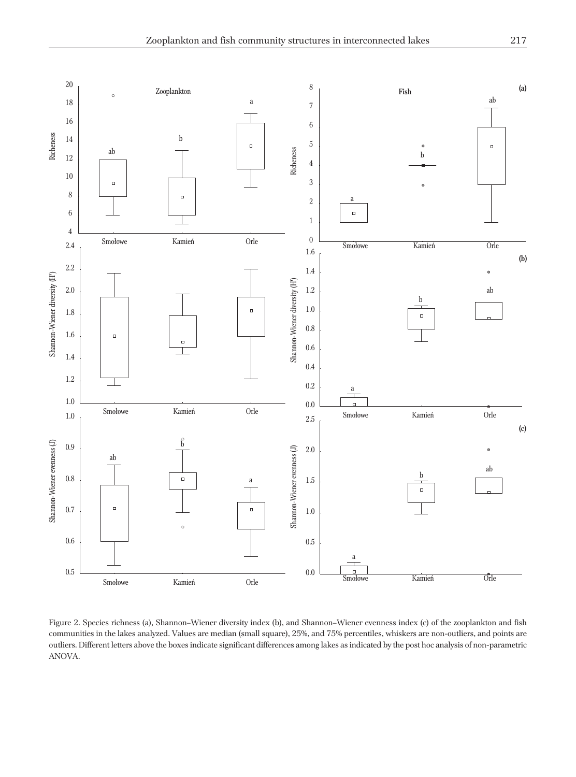

Figure 2. Species richness (a), Shannon–Wiener diversity index (b), and Shannon–Wiener evenness index (c) of the zooplankton and fish communities in the lakes analyzed. Values are median (small square), 25%, and 75% percentiles, whiskers are non-outliers, and points are outliers. Different letters above the boxes indicate significant differences among lakes as indicated by the post hoc analysis of non-parametric ANOVA.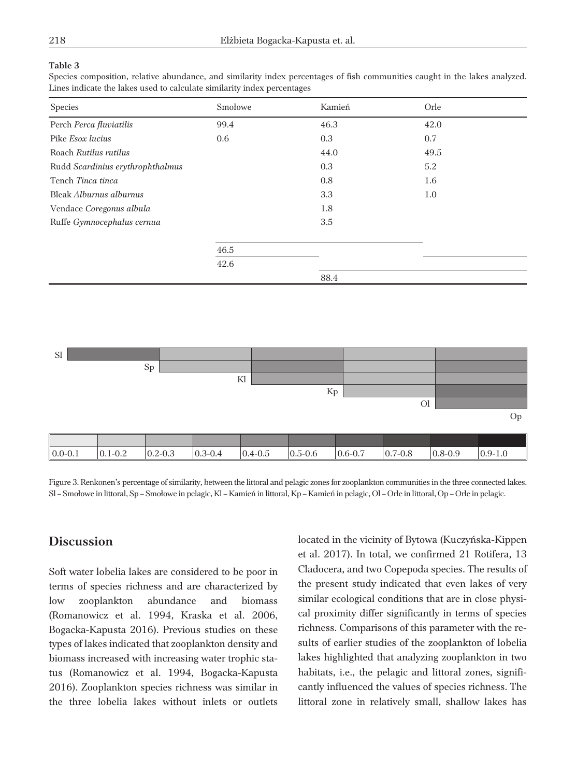#### **Table 3**

Species composition, relative abundance, and similarity index percentages of fish communities caught in the lakes analyzed. Lines indicate the lakes used to calculate similarity index percentages

| Species                          | Smołowe | Kamień | Orle |  |
|----------------------------------|---------|--------|------|--|
| Perch Perca fluviatilis          | 99.4    | 46.3   | 42.0 |  |
| Pike Esox lucius                 | 0.6     | 0.3    | 0.7  |  |
| Roach Rutilus rutilus            |         | 44.0   | 49.5 |  |
| Rudd Scardinius erythrophthalmus |         | 0.3    | 5.2  |  |
| Tench Tinca tinca                |         | 0.8    | 1.6  |  |
| Bleak Alburnus alburnus          |         | 3.3    | 1.0  |  |
| Vendace Coregonus albula         |         | 1.8    |      |  |
| Ruffe Gymnocephalus cernua       |         | 3.5    |      |  |
|                                  | 46.5    |        |      |  |
|                                  | 42.6    |        |      |  |
|                                  |         | 88.4   |      |  |



Figure 3. Renkonen's percentage of similarity, between the littoral and pelagic zones for zooplankton communities in the three connected lakes. Sl – Smołowe in littoral, Sp – Smołowe in pelagic, Kl – Kamień in littoral, Kp – Kamień in pelagic, Ol – Orle in littoral, Op – Orle in pelagic.

#### **Discussion**

Soft water lobelia lakes are considered to be poor in terms of species richness and are characterized by low zooplankton abundance and biomass (Romanowicz et al. 1994, Kraska et al. 2006, Bogacka-Kapusta 2016). Previous studies on these types of lakes indicated that zooplankton density and biomass increased with increasing water trophic status (Romanowicz et al. 1994, Bogacka-Kapusta 2016). Zooplankton species richness was similar in the three lobelia lakes without inlets or outlets

located in the vicinity of Bytowa (Kuczyñska-Kippen et al. 2017). In total, we confirmed 21 Rotifera, 13 Cladocera, and two Copepoda species. The results of the present study indicated that even lakes of very similar ecological conditions that are in close physical proximity differ significantly in terms of species richness. Comparisons of this parameter with the results of earlier studies of the zooplankton of lobelia lakes highlighted that analyzing zooplankton in two habitats, i.e., the pelagic and littoral zones, significantly influenced the values of species richness. The littoral zone in relatively small, shallow lakes has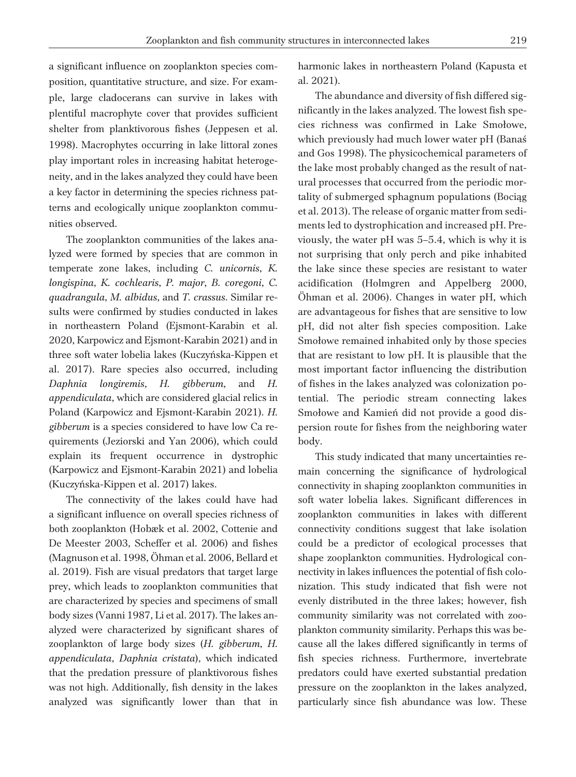a significant influence on zooplankton species composition, quantitative structure, and size. For example, large cladocerans can survive in lakes with plentiful macrophyte cover that provides sufficient shelter from planktivorous fishes (Jeppesen et al. 1998). Macrophytes occurring in lake littoral zones play important roles in increasing habitat heterogeneity, and in the lakes analyzed they could have been a key factor in determining the species richness patterns and ecologically unique zooplankton communities observed.

The zooplankton communities of the lakes analyzed were formed by species that are common in temperate zone lakes, including *C. unicornis*, *K. longispina*, *K. cochlearis*, *P. major*, *B. coregoni*, *C. quadrangula*, *M. albidus*, and *T. crassus*. Similar results were confirmed by studies conducted in lakes in northeastern Poland (Ejsmont-Karabin et al. 2020, Karpowicz and Ejsmont-Karabin 2021) and in three soft water lobelia lakes (Kuczyñska-Kippen et al. 2017). Rare species also occurred, including *Daphnia longiremis*, *H. gibberum*, and *H. appendiculata*, which are considered glacial relics in Poland (Karpowicz and Ejsmont-Karabin 2021). *H. gibberum* is a species considered to have low Ca requirements (Jeziorski and Yan 2006), which could explain its frequent occurrence in dystrophic (Karpowicz and Ejsmont-Karabin 2021) and lobelia (Kuczyñska-Kippen et al. 2017) lakes.

The connectivity of the lakes could have had a significant influence on overall species richness of both zooplankton (Hobæk et al. 2002, Cottenie and De Meester 2003, Scheffer et al. 2006) and fishes (Magnuson et al. 1998, Öhman et al. 2006, Bellard et al. 2019). Fish are visual predators that target large prey, which leads to zooplankton communities that are characterized by species and specimens of small body sizes (Vanni 1987, Li et al. 2017). The lakes analyzed were characterized by significant shares of zooplankton of large body sizes (*H. gibberum*, *H. appendiculata*, *Daphnia cristata*), which indicated that the predation pressure of planktivorous fishes was not high. Additionally, fish density in the lakes analyzed was significantly lower than that in

harmonic lakes in northeastern Poland (Kapusta et al. 2021).

The abundance and diversity of fish differed significantly in the lakes analyzed. The lowest fish species richness was confirmed in Lake Smołowe, which previously had much lower water pH (Banaś and Gos 1998). The physicochemical parameters of the lake most probably changed as the result of natural processes that occurred from the periodic mortality of submerged sphagnum populations (Bociąg et al. 2013). The release of organic matter from sediments led to dystrophication and increased pH. Previously, the water pH was 5–5.4, which is why it is not surprising that only perch and pike inhabited the lake since these species are resistant to water acidification (Holmgren and Appelberg 2000, Öhman et al. 2006). Changes in water pH, which are advantageous for fishes that are sensitive to low pH, did not alter fish species composition. Lake Smolowe remained inhabited only by those species that are resistant to low pH. It is plausible that the most important factor influencing the distribution of fishes in the lakes analyzed was colonization potential. The periodic stream connecting lakes Smołowe and Kamień did not provide a good dispersion route for fishes from the neighboring water body.

This study indicated that many uncertainties remain concerning the significance of hydrological connectivity in shaping zooplankton communities in soft water lobelia lakes. Significant differences in zooplankton communities in lakes with different connectivity conditions suggest that lake isolation could be a predictor of ecological processes that shape zooplankton communities. Hydrological connectivity in lakes influences the potential of fish colonization. This study indicated that fish were not evenly distributed in the three lakes; however, fish community similarity was not correlated with zooplankton community similarity. Perhaps this was because all the lakes differed significantly in terms of fish species richness. Furthermore, invertebrate predators could have exerted substantial predation pressure on the zooplankton in the lakes analyzed, particularly since fish abundance was low. These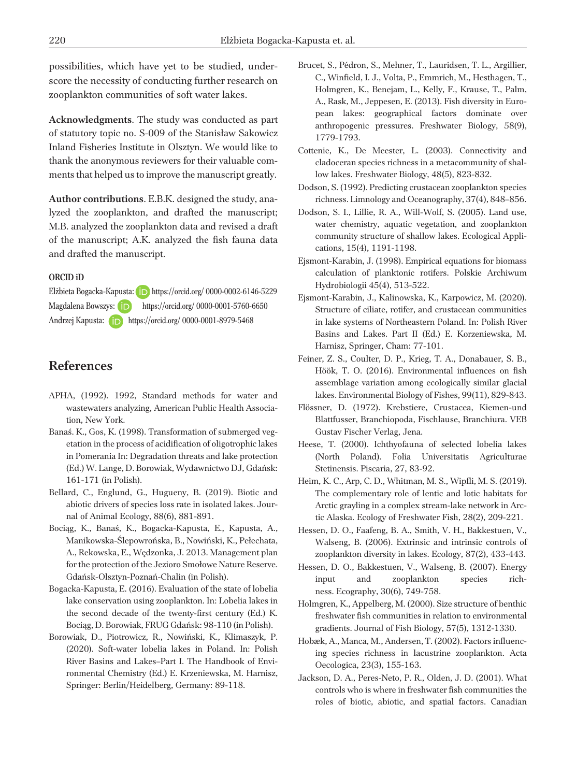possibilities, which have yet to be studied, underscore the necessity of conducting further research on zooplankton communities of soft water lakes.

**Acknowledgments**. The study was conducted as part of statutory topic no. S-009 of the Stanisław Sakowicz Inland Fisheries Institute in Olsztyn. We would like to thank the anonymous reviewers for their valuable comments that helped us to improve the manuscript greatly.

**Author contributions**. E.B.K. designed the study, analyzed the zooplankton, and drafted the manuscript; M.B. analyzed the zooplankton data and revised a draft of the manuscript; A.K. analyzed the fish fauna data and drafted the manuscript.

#### **ORCID iD**

Elżbieta Bogacka-Kapusta: **https://orcid.org/ 0000-0002-6146-5229** Magdalena Bowszys: **b** https://orcid.org/ 0000-0001-5760-6650 Andrzej Kapusta: https://orcid.org/ 0000-0001-8979-5468

# **References**

- APHA, (1992). 1992, Standard methods for water and wastewaters analyzing, American Public Health Association, New York.
- Banaś. K., Gos, K. (1998). Transformation of submerged vegetation in the process of acidification of oligotrophic lakes in Pomerania In: Degradation threats and lake protection (Ed.) W. Lange, D. Borowiak, Wydawnictwo DJ, Gdañsk: 161-171 (in Polish).
- Bellard, C., Englund, G., Hugueny, B. (2019). Biotic and abiotic drivers of species loss rate in isolated lakes. Journal of Animal Ecology, 88(6), 881-891.
- Bociąg, K., Banaś, K., Bogacka-Kapusta, E., Kapusta, A., Manikowska-Ślepowrońska, B., Nowiński, K., Pełechata, A., Rekowska, E., Wêdzonka, J. 2013. Management plan for the protection of the Jezioro Smołowe Nature Reserve. Gdañsk-Olsztyn-Poznañ-Chalin (in Polish).
- Bogacka-Kapusta, E. (2016). Evaluation of the state of lobelia lake conservation using zooplankton. In: Lobelia lakes in the second decade of the twenty-first century (Ed.) K. Bociąg, D. Borowiak, FRUG Gdańsk: 98-110 (in Polish).
- Borowiak, D., Piotrowicz, R., Nowiñski, K., Klimaszyk, P. (2020). Soft-water lobelia lakes in Poland. In: Polish River Basins and Lakes–Part I. The Handbook of Environmental Chemistry (Ed.) E. Krzeniewska, M. Harnisz, Springer: Berlin/Heidelberg, Germany: 89-118.

Brucet, S., Pédron, S., Mehner, T., Lauridsen, T. L., Argillier, C., Winfield, I. J., Volta, P., Emmrich, M., Hesthagen, T., Holmgren, K., Benejam, L., Kelly, F., Krause, T., Palm, A., Rask, M., Jeppesen, E. (2013). Fish diversity in European lakes: geographical factors dominate over anthropogenic pressures. Freshwater Biology, 58(9), 1779-1793.

Cottenie, K., De Meester, L. (2003). Connectivity and cladoceran species richness in a metacommunity of shallow lakes. Freshwater Biology, 48(5), 823-832.

- Dodson, S. (1992). Predicting crustacean zooplankton species richness. Limnology and Oceanography, 37(4), 848–856.
- Dodson, S. I., Lillie, R. A., Will-Wolf, S. (2005). Land use, water chemistry, aquatic vegetation, and zooplankton community structure of shallow lakes. Ecological Applications, 15(4), 1191-1198.
- Ejsmont-Karabin, J. (1998). Empirical equations for biomass calculation of planktonic rotifers. Polskie Archiwum Hydrobiologii 45(4), 513-522.
- Ejsmont-Karabin, J., Kalinowska, K., Karpowicz, M. (2020). Structure of ciliate, rotifer, and crustacean communities in lake systems of Northeastern Poland. In: Polish River Basins and Lakes. Part II (Ed.) E. Korzeniewska, M. Harnisz, Springer, Cham: 77-101.
- Feiner, Z. S., Coulter, D. P., Krieg, T. A., Donabauer, S. B., Höök, T. O. (2016). Environmental influences on fish assemblage variation among ecologically similar glacial lakes. Environmental Biology of Fishes, 99(11), 829-843.
- Flössner, D. (1972). Krebstiere, Crustacea, Kiemen-und Blattfusser, Branchiopoda, Fischlause, Branchiura. VEB Gustav Fischer Verlag, Jena.
- Heese, T. (2000). Ichthyofauna of selected lobelia lakes (North Poland). Folia Universitatis Agriculturae Stetinensis. Piscaria, 27, 83-92.
- Heim, K. C., Arp, C. D., Whitman, M. S., Wipfli, M. S. (2019). The complementary role of lentic and lotic habitats for Arctic grayling in a complex stream-lake network in Arctic Alaska. Ecology of Freshwater Fish, 28(2), 209-221.
- Hessen, D. O., Faafeng, B. A., Smith, V. H., Bakkestuen, V., Walseng, B. (2006). Extrinsic and intrinsic controls of zooplankton diversity in lakes. Ecology, 87(2), 433-443.
- Hessen, D. O., Bakkestuen, V., Walseng, B. (2007). Energy input and zooplankton species richness. Ecography, 30(6), 749-758.
- Holmgren, K., Appelberg, M. (2000). Size structure of benthic freshwater fish communities in relation to environmental gradients. Journal of Fish Biology, 57(5), 1312-1330.
- Hobæk, A., Manca, M., Andersen, T. (2002). Factors influencing species richness in lacustrine zooplankton. Acta Oecologica, 23(3), 155-163.
- Jackson, D. A., Peres-Neto, P. R., Olden, J. D. (2001). What controls who is where in freshwater fish communities the roles of biotic, abiotic, and spatial factors. Canadian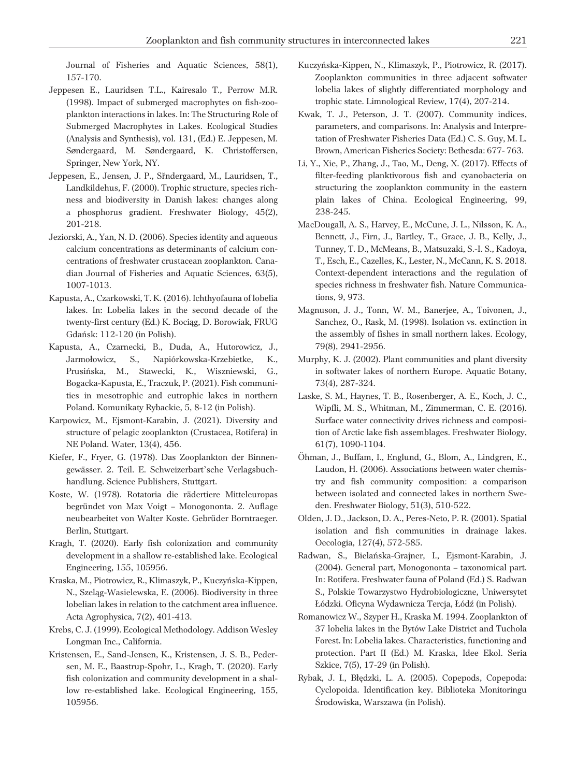Journal of Fisheries and Aquatic Sciences, 58(1), 157-170.

- Jeppesen E., Lauridsen T.L., Kairesalo T., Perrow M.R. (1998). Impact of submerged macrophytes on fish-zooplankton interactions in lakes. In: The Structuring Role of Submerged Macrophytes in Lakes. Ecological Studies (Analysis and Synthesis), vol. 131, (Ed.) E. Jeppesen, M. Søndergaard, M. Søndergaard, K. Christoffersen, Springer, New York, NY.
- Jeppesen, E., Jensen, J. P., Sřndergaard, M., Lauridsen, T., Landkildehus, F. (2000). Trophic structure, species richness and biodiversity in Danish lakes: changes along a phosphorus gradient. Freshwater Biology, 45(2), 201-218.
- Jeziorski, A., Yan, N. D. (2006). Species identity and aqueous calcium concentrations as determinants of calcium concentrations of freshwater crustacean zooplankton. Canadian Journal of Fisheries and Aquatic Sciences, 63(5), 1007-1013.
- Kapusta, A., Czarkowski, T. K. (2016). Ichthyofauna of lobelia lakes. In: Lobelia lakes in the second decade of the twenty-first century (Ed.) K. Bociąg, D. Borowiak, FRUG Gdañsk: 112-120 (in Polish).
- Kapusta, A., Czarnecki, B., Duda, A., Hutorowicz, J., Jarmołowicz, S., Napiórkowska-Krzebietke, K., Prusiñska, M., Stawecki, K., Wiszniewski, G., Bogacka-Kapusta, E., Traczuk, P. (2021). Fish communities in mesotrophic and eutrophic lakes in northern Poland. Komunikaty Rybackie, 5, 8-12 (in Polish).
- Karpowicz, M., Ejsmont-Karabin, J. (2021). Diversity and structure of pelagic zooplankton (Crustacea, Rotifera) in NE Poland. Water, 13(4), 456.
- Kiefer, F., Fryer, G. (1978). Das Zooplankton der Binnengewässer. 2. Teil. E. Schweizerbart'sche Verlagsbuchhandlung. Science Publishers, Stuttgart.
- Koste, W. (1978). Rotatoria die rädertiere Mitteleuropas begründet von Max Voigt – Monogononta. 2. Auflage neubearbeitet von Walter Koste. Gebrüder Borntraeger. Berlin, Stuttgart.
- Kragh, T. (2020). Early fish colonization and community development in a shallow re-established lake. Ecological Engineering, 155, 105956.
- Kraska, M., Piotrowicz, R., Klimaszyk, P., Kuczyñska-Kippen, N., Szelag-Wasielewska, E. (2006). Biodiversity in three lobelian lakes in relation to the catchment area influence. Acta Agrophysica, 7(2), 401-413.
- Krebs, C. J. (1999). Ecological Methodology. Addison Wesley Longman Inc., California.
- Kristensen, E., Sand-Jensen, K., Kristensen, J. S. B., Pedersen, M. E., Baastrup-Spohr, L., Kragh, T. (2020). Early fish colonization and community development in a shallow re-established lake. Ecological Engineering, 155, 105956.
- Kuczyñska-Kippen, N., Klimaszyk, P., Piotrowicz, R. (2017). Zooplankton communities in three adjacent softwater lobelia lakes of slightly differentiated morphology and trophic state. Limnological Review, 17(4), 207-214.
- Kwak, T. J., Peterson, J. T. (2007). Community indices, parameters, and comparisons. In: Analysis and Interpretation of Freshwater Fisheries Data (Ed.) C. S. Guy, M. L. Brown, American Fisheries Society: Bethesda: 677- 763.
- Li, Y., Xie, P., Zhang, J., Tao, M., Deng, X. (2017). Effects of filter-feeding planktivorous fish and cyanobacteria on structuring the zooplankton community in the eastern plain lakes of China. Ecological Engineering, 99, 238-245.
- MacDougall, A. S., Harvey, E., McCune, J. L., Nilsson, K. A., Bennett, J., Firn, J., Bartley, T., Grace, J. B., Kelly, J., Tunney, T. D., McMeans, B., Matsuzaki, S.-I. S., Kadoya, T., Esch, E., Cazelles, K., Lester, N., McCann, K. S. 2018. Context-dependent interactions and the regulation of species richness in freshwater fish. Nature Communications, 9, 973.
- Magnuson, J. J., Tonn, W. M., Banerjee, A., Toivonen, J., Sanchez, O., Rask, M. (1998). Isolation vs. extinction in the assembly of fishes in small northern lakes. Ecology, 79(8), 2941-2956.
- Murphy, K. J. (2002). Plant communities and plant diversity in softwater lakes of northern Europe. Aquatic Botany, 73(4), 287-324.
- Laske, S. M., Haynes, T. B., Rosenberger, A. E., Koch, J. C., Wipfli, M. S., Whitman, M., Zimmerman, C. E. (2016). Surface water connectivity drives richness and composition of Arctic lake fish assemblages. Freshwater Biology, 61(7), 1090-1104.
- Öhman, J., Buffam, I., Englund, G., Blom, A., Lindgren, E., Laudon, H. (2006). Associations between water chemistry and fish community composition: a comparison between isolated and connected lakes in northern Sweden. Freshwater Biology, 51(3), 510-522.
- Olden, J. D., Jackson, D. A., Peres-Neto, P. R. (2001). Spatial isolation and fish communities in drainage lakes. Oecologia, 127(4), 572-585.
- Radwan, S., Bielañska-Grajner, I., Ejsmont-Karabin, J. (2004). General part, Monogononta – taxonomical part. In: Rotifera. Freshwater fauna of Poland (Ed.) S. Radwan S., Polskie Towarzystwo Hydrobiologiczne, Uniwersytet Łódzki. Oficyna Wydawnicza Tercja, Łódź (in Polish).
- Romanowicz W., Szyper H., Kraska M. 1994. Zooplankton of 37 lobelia lakes in the Bytów Lake District and Tuchola Forest. In: Lobelia lakes. Characteristics, functioning and protection. Part II (Ed.) M. Kraska, Idee Ekol. Seria Szkice, 7(5), 17-29 (in Polish).
- Rybak, J. I., Błędzki, L. A. (2005). Copepods, Copepoda: Cyclopoida. Identification key. Biblioteka Monitoringu Środowiska, Warszawa (in Polish).